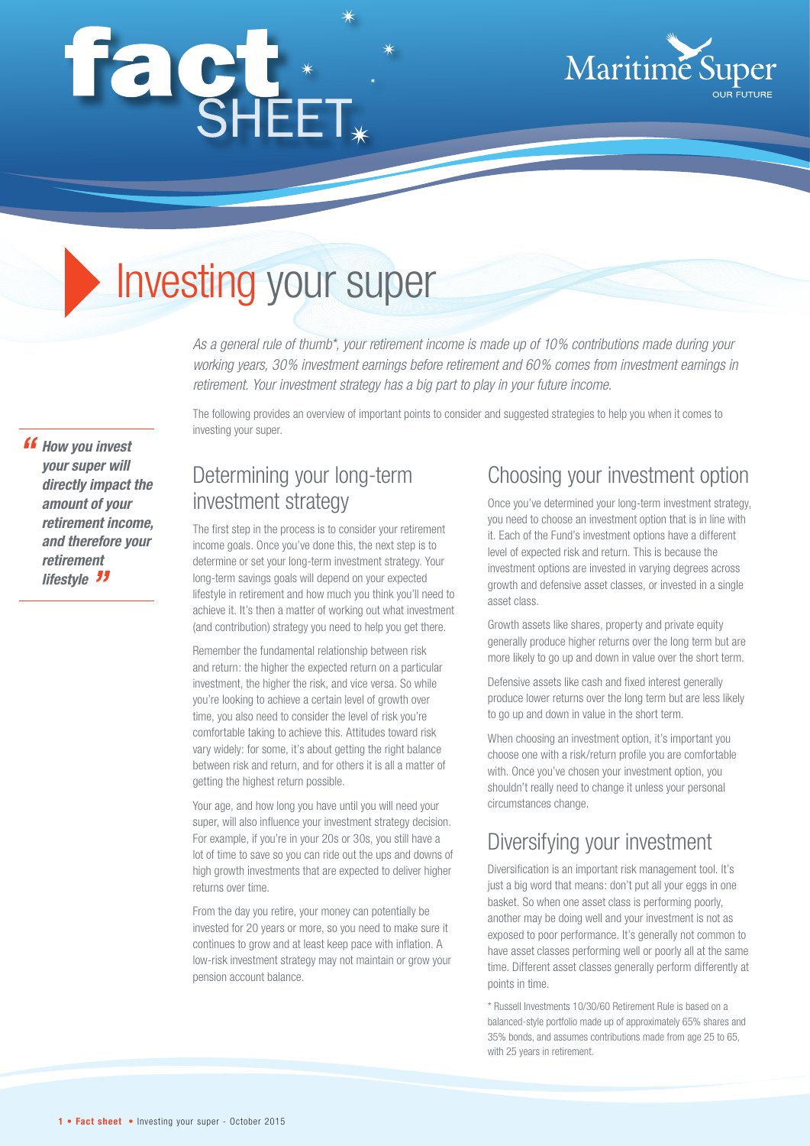# façt\*



# Investing your super

*As a general rule of thumb\*, your retirement income is made up of 10% contributions made during your working years, 30% investment earnings before retirement and 60% comes from investment earnings in retirement. Your investment strategy has a big part to play in your future income.*

**" How you invest** *your super will directly impact the amount of your retirement income, and therefore your retirement*  **lifestyle** *ff* 

The following provides an overview of important points to consider and suggested strategies to help you when it comes to investing your super.

#### Determining your long-term investment strategy

The first step in the process is to consider your retirement income goals. Once you've done this, the next step is to determine or set your long-term investment strategy. Your long-term savings goals will depend on your expected lifestyle in retirement and how much you think you'll need to achieve it. It's then a matter of working out what investment (and contribution) strategy you need to help you get there.

Remember the fundamental relationship between risk and return: the higher the expected return on a particular investment, the higher the risk, and vice versa. So while you're looking to achieve a certain level of growth over time, you also need to consider the level of risk you're comfortable taking to achieve this. Attitudes toward risk vary widely: for some, it's about getting the right balance between risk and return, and for others it is all a matter of getting the highest return possible.

Your age, and how long you have until you will need your super, will also influence your investment strategy decision. For example, if you're in your 20s or 30s, you still have a lot of time to save so you can ride out the ups and downs of high growth investments that are expected to deliver higher returns over time.

From the day you retire, your money can potentially be invested for 20 years or more, so you need to make sure it continues to grow and at least keep pace with inflation. A low-risk investment strategy may not maintain or grow your pension account balance.

#### Choosing your investment option

Once you've determined your long-term investment strategy, you need to choose an investment option that is in line with it. Each of the Fund's investment options have a different level of expected risk and return. This is because the investment options are invested in varying degrees across growth and defensive asset classes, or invested in a single asset class.

Growth assets like shares, property and private equity generally produce higher returns over the long term but are more likely to go up and down in value over the short term.

Defensive assets like cash and fixed interest generally produce lower returns over the long term but are less likely to go up and down in value in the short term.

When choosing an investment option, it's important you choose one with a risk/return profile you are comfortable with. Once you've chosen your investment option, you shouldn't really need to change it unless your personal circumstances change.

## Diversifying your investment

Diversification is an important risk management tool. It's just a big word that means: don't put all your eggs in one basket. So when one asset class is performing poorly, another may be doing well and your investment is not as exposed to poor performance. It's generally not common to have asset classes performing well or poorly all at the same time. Different asset classes generally perform differently at points in time.

\* Russell Investments 10/30/60 Retirement Rule is based on a balanced-style portfolio made up of approximately 65% shares and 35% bonds, and assumes contributions made from age 25 to 65, with 25 years in retirement.